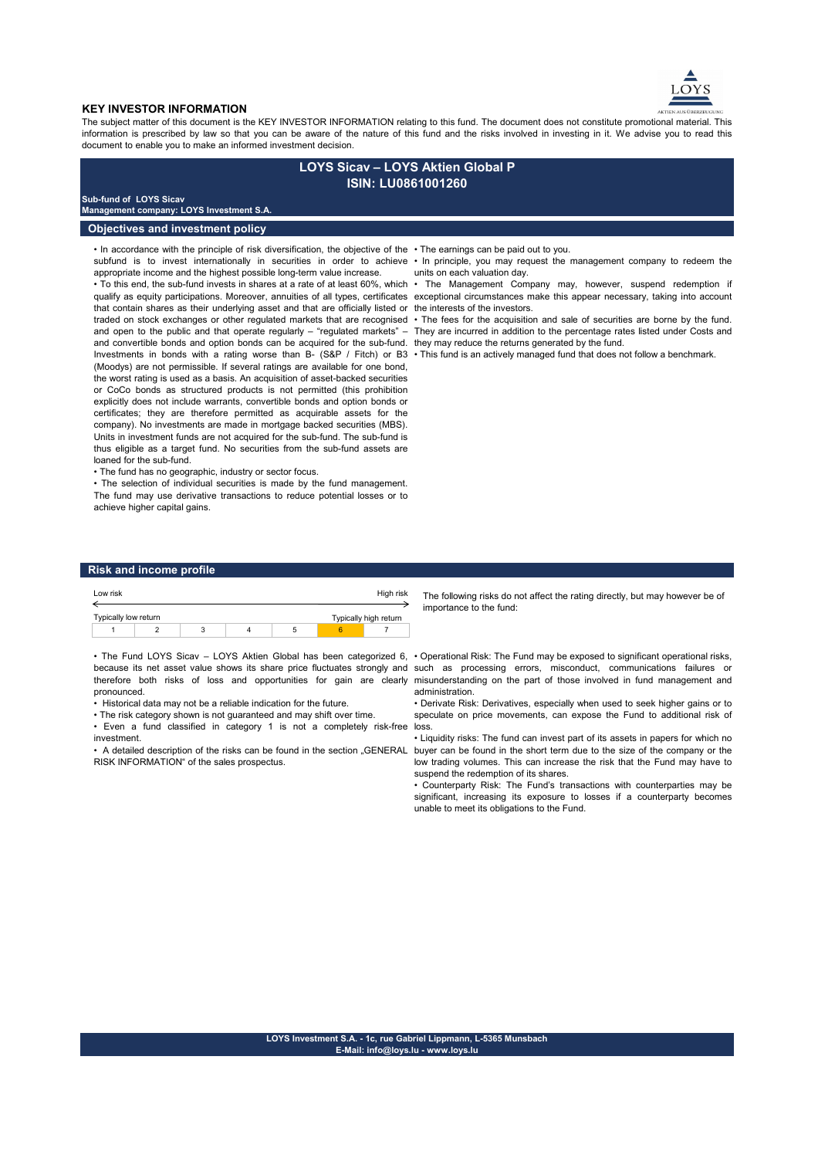

### **KEY INVESTOR INFORMATION**

The subject matter of this document is the KEY INVESTOR INFORMATION relating to this fund. The document does not constitute promotional material. This information is prescribed by law so that you can be aware of the nature of this fund and the risks involved in investing in it. We advise you to read this document to enable you to make an informed investment decision.

# **LOYS Sicav – LOYS Aktien Global P ISIN: LU0861001260**

## **Sub-fund of LOYS Sicav**

**Management company: LOYS Investment S.A.**

## **Objectives and investment policy**

• In accordance with the principle of risk diversification, the objective of the • The earnings can be paid out to you. appropriate income and the highest possible long-term value increase.

that contain shares as their underlying asset and that are officially listed or the interests of the investors. and convertible bonds and option bonds can be acquired for the sub-fund. they may reduce the returns generated by the fund. Investments in bonds with a rating worse than B- (S&P / Fitch) or B3 • This fund is an actively managed fund that does not follow a benchmark. (Moodys) are not permissible. If several ratings are available for one bond, the worst rating is used as a basis. An acquisition of asset-backed securities or CoCo bonds as structured products is not permitted (this prohibition explicitly does not include warrants, convertible bonds and option bonds or certificates; they are therefore permitted as acquirable assets for the company). No investments are made in mortgage backed securities (MBS). Units in investment funds are not acquired for the sub-fund. The sub-fund is thus eligible as a target fund. No securities from the sub-fund assets are loaned for the sub-fund.

• The fund has no geographic, industry or sector focus.

• The selection of individual securities is made by the fund management. The fund may use derivative transactions to reduce potential losses or to achieve higher capital gains.

- 
- subfund is to invest internationally in securities in order to achieve In principle, you may request the management company to redeem the units on each valuation day.

• To this end, the sub-fund invests in shares at a rate of at least 60%, which • The Management Company may, however, suspend redemption if qualify as equity participations. Moreover, annuities of all types, certificates exceptional circumstances make this appear necessary, taking into account

traded on stock exchanges or other regulated markets that are recognised • The fees for the acquisition and sale of securities are borne by the fund. and open to the public and that operate regularly – "regulated markets" – They are incurred in addition to the percentage rates listed under Costs and

## **Risk and income profile**

| Low risk             |  |   | High risk             |  |  |
|----------------------|--|---|-----------------------|--|--|
|                      |  |   |                       |  |  |
| Typically low return |  |   | Typically high return |  |  |
|                      |  | 3 |                       |  |  |
|                      |  |   |                       |  |  |

• The Fund LOYS Sicav – LOYS Aktien Global has been categorized 6, • Operational Risk: The Fund may be exposed to significant operational risks, because its net asset value shows its share price fluctuates strongly and such as processing errors, misconduct, communications failures or therefore both risks of loss and opportunities for gain are clearly misunderstanding on the part of those involved in fund management and pronounced.

• Historical data may not be a reliable indication for the future.

• The risk category shown is not guaranteed and may shift over time.

• Even a fund classified in category 1 is not a completely risk-free loss. investment.

• A detailed description of the risks can be found in the section . GENERAL RISK INFORMATION" of the sales prospectus.

The following risks do not affect the rating directly, but may however be of importance to the fund:

administration.

• Derivate Risk: Derivatives, especially when used to seek higher gains or to speculate on price movements, can expose the Fund to additional risk of

• Liquidity risks: The fund can invest part of its assets in papers for which no buyer can be found in the short term due to the size of the company or the low trading volumes. This can increase the risk that the Fund may have to suspend the redemption of its shares.

• Counterparty Risk: The Fund's transactions with counterparties may be significant, increasing its exposure to losses if a counterparty becomes unable to meet its obligations to the Fund.